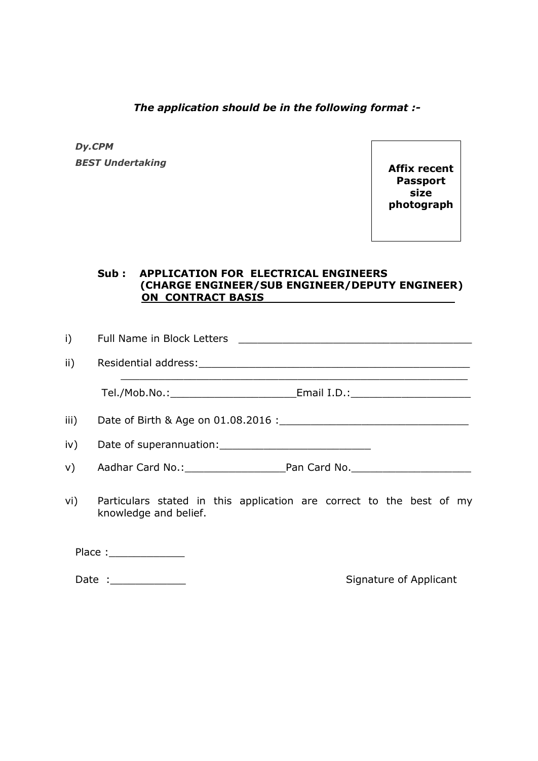*The application should be in the following format :-*

### *Dy.CPM BEST Undertaking*

**Affix recent Passport size photograph**

### **Sub : APPLICATION FOR ELECTRICAL ENGINEERS (CHARGE ENGINEER/SUB ENGINEER/DEPUTY ENGINEER) ON CONTRACT BASIS**

| i)              | Full Name in Block Letters                                                                    |  |  |
|-----------------|-----------------------------------------------------------------------------------------------|--|--|
| $\mathsf{ii}$ ) |                                                                                               |  |  |
|                 |                                                                                               |  |  |
| iii)            |                                                                                               |  |  |
|                 |                                                                                               |  |  |
| V)              | Aadhar Card No.: Pan Card No. No. 2008. Aadhar Card No.                                       |  |  |
| vi)             | Particulars stated in this application are correct to the best of my<br>knowledge and belief. |  |  |
|                 | Place : ________________                                                                      |  |  |

Date : Contract of Applicant Contract of Applicant Contract Contract Contract Contract Contract Contract Contract Contract Contract Contract Contract Contract Contract Contract Contract Contract Contract Contract Contract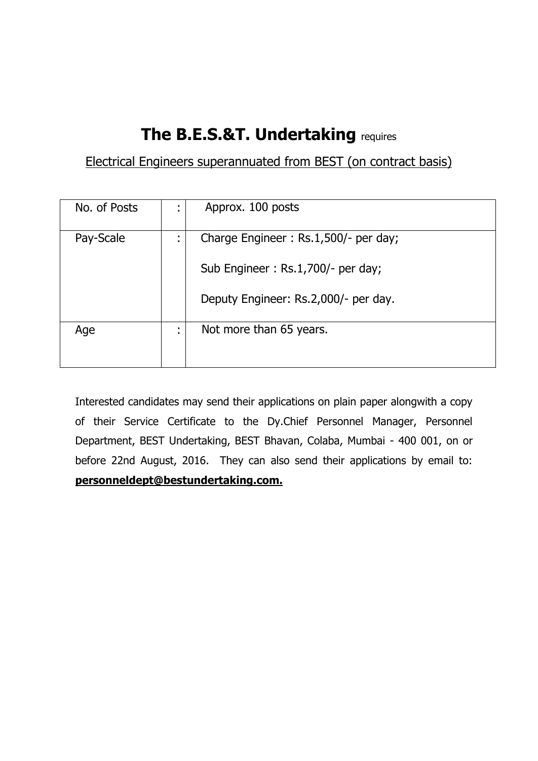# **The B.E.S.&T. Undertaking** requires

## Electrical Engineers superannuated from BEST (on contract basis)

| No. of Posts |                                  | Approx. 100 posts                    |
|--------------|----------------------------------|--------------------------------------|
| Pay-Scale    | $\blacksquare$<br>$\blacksquare$ | Charge Engineer: Rs.1,500/- per day; |
|              |                                  | Sub Engineer: Rs.1,700/- per day;    |
|              |                                  | Deputy Engineer: Rs.2,000/- per day. |
| Age          | $\blacksquare$<br>$\blacksquare$ | Not more than 65 years.              |

Interested candidates may send their applications on plain paper alongwith a copy of their Service Certificate to the Dy.Chief Personnel Manager, Personnel Department, BEST Undertaking, BEST Bhavan, Colaba, Mumbai - 400 001, on or before 22nd August, 2016. They can also send their applications by email to: **personneldept@bestundertaking.com.**